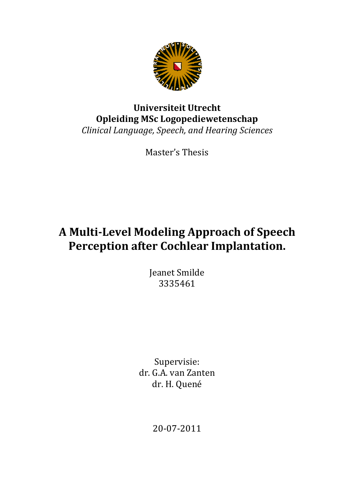

# **Opleiding MSc Logopediewetenschap Logopediewetenschap***Clinical Language, Speech, and Hearing Sciences Speech,* **Universiteit Utrecht**

Master's Thesis

# **A Multi-Level Modeling Level Approach of of Speech Perception after Cochlear Implantation.**

Jeanet Smilde 3335461

Supervisie: dr. G.A. van Zanten dr. H. Quené

20-07-2011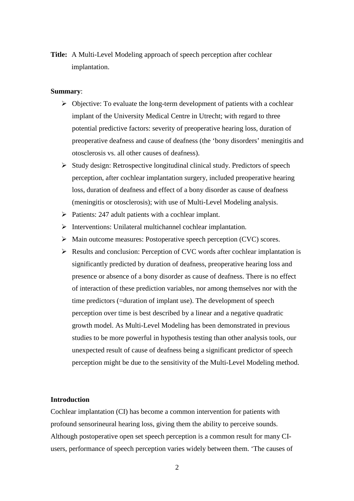**Title:** A Multi-Level Modeling approach of speech perception after cochlear implantation.

#### **Summary**:

- $\triangleright$  Objective: To evaluate the long-term development of patients with a cochlear implant of the University Medical Centre in Utrecht; with regard to three potential predictive factors: severity of preoperative hearing loss, duration of preoperative deafness and cause of deafness (the 'bony disorders' meningitis and otosclerosis vs. all other causes of deafness).
- $\triangleright$  Study design: Retrospective longitudinal clinical study. Predictors of speech perception, after cochlear implantation surgery, included preoperative hearing loss, duration of deafness and effect of a bony disorder as cause of deafness (meningitis or otosclerosis); with use of Multi-Level Modeling analysis.
- $\triangleright$  Patients: 247 adult patients with a cochlear implant.
- $\triangleright$  Interventions: Unilateral multichannel cochlear implantation.
- $\triangleright$  Main outcome measures: Postoperative speech perception (CVC) scores.
- Results and conclusion: Perception of CVC words after cochlear implantation is significantly predicted by duration of deafness, preoperative hearing loss and presence or absence of a bony disorder as cause of deafness. There is no effect of interaction of these prediction variables, nor among themselves nor with the time predictors (=duration of implant use). The development of speech perception over time is best described by a linear and a negative quadratic growth model. As Multi-Level Modeling has been demonstrated in previous studies to be more powerful in hypothesis testing than other analysis tools, our unexpected result of cause of deafness being a significant predictor of speech perception might be due to the sensitivity of the Multi-Level Modeling method.

#### **Introduction**

Cochlear implantation (CI) has become a common intervention for patients with profound sensorineural hearing loss, giving them the ability to perceive sounds. Although postoperative open set speech perception is a common result for many CIusers, performance of speech perception varies widely between them. 'The causes of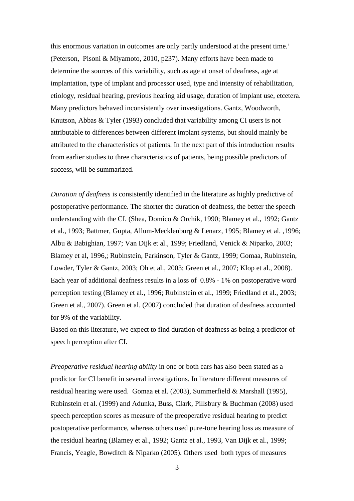this enormous variation in outcomes are only partly understood at the present time.' (Peterson, Pisoni & Miyamoto, 2010, p237). Many efforts have been made to determine the sources of this variability, such as age at onset of deafness, age at implantation, type of implant and processor used, type and intensity of rehabilitation, etiology, residual hearing, previous hearing aid usage, duration of implant use, etcetera. Many predictors behaved inconsistently over investigations. Gantz, Woodworth, Knutson, Abbas & Tyler (1993) concluded that variability among CI users is not attributable to differences between different implant systems, but should mainly be attributed to the characteristics of patients. In the next part of this introduction results from earlier studies to three characteristics of patients, being possible predictors of success, will be summarized.

*Duration of deafness* is consistently identified in the literature as highly predictive of postoperative performance. The shorter the duration of deafness, the better the speech understanding with the CI. (Shea, Domico & Orchik, 1990; Blamey et al., 1992; Gantz et al., 1993; Battmer, Gupta, Allum-Mecklenburg & Lenarz, 1995; Blamey et al. ,1996; Albu & Babighian, 1997; Van Dijk et al., 1999; Friedland, Venick & Niparko, 2003; Blamey et al, 1996,; Rubinstein, Parkinson, Tyler & Gantz, 1999; Gomaa, Rubinstein, Lowder, Tyler & Gantz, 2003; Oh et al., 2003; Green et al., 2007; Klop et al., 2008). Each year of additional deafness results in a loss of 0.8% - 1% on postoperative word perception testing (Blamey et al., 1996; Rubinstein et al., 1999; Friedland et al., 2003; Green et al., 2007). Green et al. (2007) concluded that duration of deafness accounted for 9% of the variability.

Based on this literature, we expect to find duration of deafness as being a predictor of speech perception after CI.

*Preoperative residual hearing ability* in one or both ears has also been stated as a predictor for CI benefit in several investigations. In literature different measures of residual hearing were used. Gomaa et al. (2003), Summerfield & Marshall (1995), Rubinstein et al. (1999) and Adunka, Buss, Clark, Pillsbury & Buchman (2008) used speech perception scores as measure of the preoperative residual hearing to predict postoperative performance, whereas others used pure-tone hearing loss as measure of the residual hearing (Blamey et al., 1992; Gantz et al., 1993, Van Dijk et al., 1999; Francis, Yeagle, Bowditch & Niparko (2005). Others used both types of measures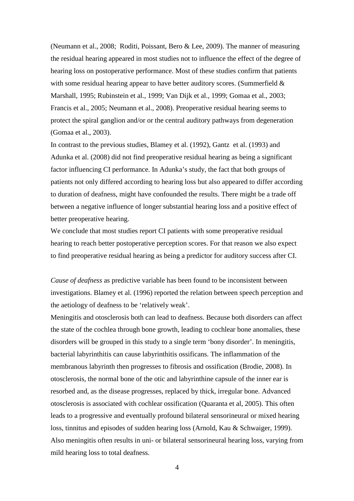(Neumann et al., 2008; Roditi, Poissant, Bero & Lee, 2009). The manner of measuring the residual hearing appeared in most studies not to influence the effect of the degree of hearing loss on postoperative performance. Most of these studies confirm that patients with some residual hearing appear to have better auditory scores. (Summerfield  $\&$ Marshall, 1995; Rubinstein et al., 1999; Van Dijk et al., 1999; Gomaa et al., 2003; Francis et al., 2005; Neumann et al., 2008). Preoperative residual hearing seems to protect the spiral ganglion and/or or the central auditory pathways from degeneration (Gomaa et al., 2003).

In contrast to the previous studies, Blamey et al. (1992), Gantz et al. (1993) and Adunka et al. (2008) did not find preoperative residual hearing as being a significant factor influencing CI performance. In Adunka's study, the fact that both groups of patients not only differed according to hearing loss but also appeared to differ according to duration of deafness, might have confounded the results. There might be a trade off between a negative influence of longer substantial hearing loss and a positive effect of better preoperative hearing.

We conclude that most studies report CI patients with some preoperative residual hearing to reach better postoperative perception scores. For that reason we also expect to find preoperative residual hearing as being a predictor for auditory success after CI.

*Cause of deafness* as predictive variable has been found to be inconsistent between investigations. Blamey et al. (1996) reported the relation between speech perception and the aetiology of deafness to be 'relatively weak'.

Meningitis and otosclerosis both can lead to deafness. Because both disorders can affect the state of the cochlea through bone growth, leading to cochlear bone anomalies, these disorders will be grouped in this study to a single term 'bony disorder'. In meningitis, bacterial labyrinthitis can cause labyrinthitis ossificans. The inflammation of the membranous labyrinth then progresses to fibrosis and ossification (Brodie, 2008). In otosclerosis, the normal bone of the otic and labyrinthine capsule of the inner ear is resorbed and, as the disease progresses, replaced by thick, irregular bone. Advanced otosclerosis is associated with cochlear ossification (Quaranta et al, 2005). This often leads to a progressive and eventually profound bilateral sensorineural or mixed hearing loss, tinnitus and episodes of sudden hearing loss (Arnold, Kau & Schwaiger, 1999). Also meningitis often results in uni- or bilateral sensorineural hearing loss, varying from mild hearing loss to total deafness.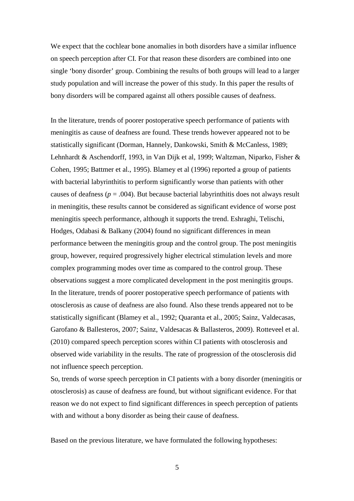We expect that the cochlear bone anomalies in both disorders have a similar influence on speech perception after CI. For that reason these disorders are combined into one single 'bony disorder' group. Combining the results of both groups will lead to a larger study population and will increase the power of this study. In this paper the results of bony disorders will be compared against all others possible causes of deafness.

In the literature, trends of poorer postoperative speech performance of patients with meningitis as cause of deafness are found. These trends however appeared not to be statistically significant (Dorman, Hannely, Dankowski, Smith & McCanless, 1989; Lehnhardt & Aschendorff, 1993, in Van Dijk et al, 1999; Waltzman, Niparko, Fisher & Cohen, 1995; Battmer et al., 1995). Blamey et al (1996) reported a group of patients with bacterial labyrinthitis to perform significantly worse than patients with other causes of deafness ( $p = .004$ ). But because bacterial labyrinthitis does not always result in meningitis, these results cannot be considered as significant evidence of worse post meningitis speech performance, although it supports the trend. Eshraghi, Telischi, Hodges, Odabasi & Balkany (2004) found no significant differences in mean performance between the meningitis group and the control group. The post meningitis group, however, required progressively higher electrical stimulation levels and more complex programming modes over time as compared to the control group. These observations suggest a more complicated development in the post meningitis groups. In the literature, trends of poorer postoperative speech performance of patients with otosclerosis as cause of deafness are also found. Also these trends appeared not to be statistically significant (Blamey et al., 1992; Quaranta et al., 2005; Sainz, Valdecasas, Garofano & Ballesteros, 2007; Sainz, Valdesacas & Ballasteros, 2009). Rotteveel et al. (2010) compared speech perception scores within CI patients with otosclerosis and observed wide variability in the results. The rate of progression of the otosclerosis did not influence speech perception.

So, trends of worse speech perception in CI patients with a bony disorder (meningitis or otosclerosis) as cause of deafness are found, but without significant evidence. For that reason we do not expect to find significant differences in speech perception of patients with and without a bony disorder as being their cause of deafness.

Based on the previous literature, we have formulated the following hypotheses: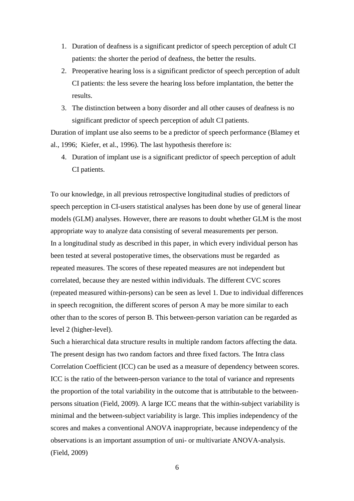- 1. Duration of deafness is a significant predictor of speech perception of adult CI patients: the shorter the period of deafness, the better the results.
- 2. Preoperative hearing loss is a significant predictor of speech perception of adult CI patients: the less severe the hearing loss before implantation, the better the results.
- 3. The distinction between a bony disorder and all other causes of deafness is no significant predictor of speech perception of adult CI patients.

Duration of implant use also seems to be a predictor of speech performance (Blamey et al., 1996; Kiefer, et al., 1996). The last hypothesis therefore is:

4. Duration of implant use is a significant predictor of speech perception of adult CI patients.

To our knowledge, in all previous retrospective longitudinal studies of predictors of speech perception in CI-users statistical analyses has been done by use of general linear models (GLM) analyses. However, there are reasons to doubt whether GLM is the most appropriate way to analyze data consisting of several measurements per person. In a longitudinal study as described in this paper, in which every individual person has been tested at several postoperative times, the observations must be regarded as repeated measures. The scores of these repeated measures are not independent but correlated, because they are nested within individuals. The different CVC scores (repeated measured within-persons) can be seen as level 1. Due to individual differences in speech recognition, the different scores of person A may be more similar to each other than to the scores of person B. This between-person variation can be regarded as level 2 (higher-level).

Such a hierarchical data structure results in multiple random factors affecting the data. The present design has two random factors and three fixed factors. The Intra class Correlation Coefficient (ICC) can be used as a measure of dependency between scores. ICC is the ratio of the between-person variance to the total of variance and represents the proportion of the total variability in the outcome that is attributable to the betweenpersons situation (Field, 2009). A large ICC means that the within-subject variability is minimal and the between-subject variability is large. This implies independency of the scores and makes a conventional ANOVA inappropriate, because independency of the observations is an important assumption of uni- or multivariate ANOVA-analysis. (Field, 2009)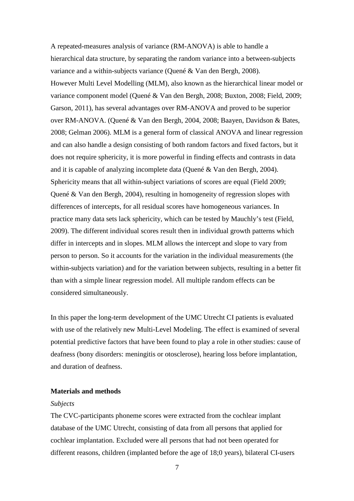A repeated-measures analysis of variance (RM-ANOVA) is able to handle a hierarchical data structure, by separating the random variance into a between-subjects variance and a within-subjects variance (Quené & Van den Bergh, 2008). However Multi Level Modelling (MLM), also known as the hierarchical linear model or variance component model (Quené & Van den Bergh, 2008; Buxton, 2008; Field, 2009; Garson, 2011), has several advantages over RM-ANOVA and proved to be superior over RM-ANOVA. (Quené & Van den Bergh, 2004, 2008; Baayen, Davidson & Bates, 2008; Gelman 2006). MLM is a general form of classical ANOVA and linear regression and can also handle a design consisting of both random factors and fixed factors, but it does not require sphericity, it is more powerful in finding effects and contrasts in data and it is capable of analyzing incomplete data (Quené & Van den Bergh, 2004). Sphericity means that all within-subject variations of scores are equal (Field 2009; Quené & Van den Bergh, 2004), resulting in homogeneity of regression slopes with differences of intercepts, for all residual scores have homogeneous variances. In practice many data sets lack sphericity, which can be tested by Mauchly's test (Field, 2009). The different individual scores result then in individual growth patterns which differ in intercepts and in slopes. MLM allows the intercept and slope to vary from person to person. So it accounts for the variation in the individual measurements (the within-subjects variation) and for the variation between subjects, resulting in a better fit than with a simple linear regression model. All multiple random effects can be considered simultaneously.

In this paper the long-term development of the UMC Utrecht CI patients is evaluated with use of the relatively new Multi-Level Modeling. The effect is examined of several potential predictive factors that have been found to play a role in other studies: cause of deafness (bony disorders: meningitis or otosclerose), hearing loss before implantation, and duration of deafness.

#### **Materials and methods**

#### *Subjects*

The CVC-participants phoneme scores were extracted from the cochlear implant database of the UMC Utrecht, consisting of data from all persons that applied for cochlear implantation. Excluded were all persons that had not been operated for different reasons, children (implanted before the age of 18;0 years), bilateral CI-users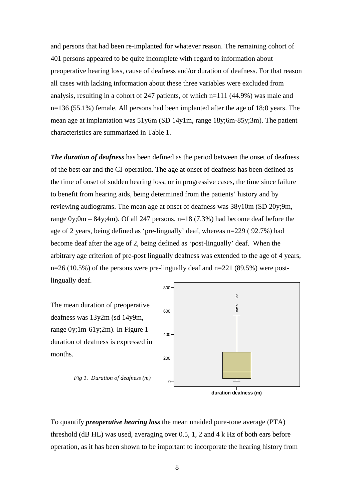and persons that had been re-implanted for whatever reason. The remaining cohort of 401 persons appeared to be quite incomplete with regard to information about preoperative hearing loss, cause of deafness and/or duration of deafness. For that reason all cases with lacking information about these three variables were excluded from analysis, resulting in a cohort of 247 patients, of which n=111 (44.9%) was male and n=136 (55.1%) female. All persons had been implanted after the age of 18;0 years. The mean age at implantation was 51y6m (SD 14y1m, range 18y;6m-85y;3m). The patient characteristics are summarized in Table 1.

800 *The duration of deafness* has been defined as the period between the onset of deafness of the best ear and the CI-operation. The age at onset of deafness has been defined as the time of onset of sudden hearing loss, or in progressive cases, the time since failure to benefit from hearing aids, being determined from the patients' history and by reviewing audiograms. The mean age at onset of deafness was 38y10m (SD 20y;9m, range 0y;0m – 84y;4m). Of all 247 persons, n=18 (7.3%) had become deaf before the age of 2 years, being defined as 'pre-lingually' deaf, whereas n=229 ( 92.7%) had become deaf after the age of 2, being defined as 'post-lingually' deaf. When the arbitrary age criterion of pre-post lingually deafness was extended to the age of 4 years,  $n=26$  (10.5%) of the persons were pre-lingually deaf and  $n=221$  (89.5%) were postlingually deaf.

The mean duration of preoperative deafness was 13y2m (sd 14y9m, range 0y;1m-61y;2m). In Figure 1 duration of deafness is expressed in months.

*Fig 1. Duration of deafness (m)*





To quantify *preoperative hearing loss* the mean unaided pure-tone average (PTA) threshold (dB HL) was used, averaging over 0.5, 1, 2 and 4 k Hz of both ears before operation, as it has been shown to be important to incorporate the hearing history from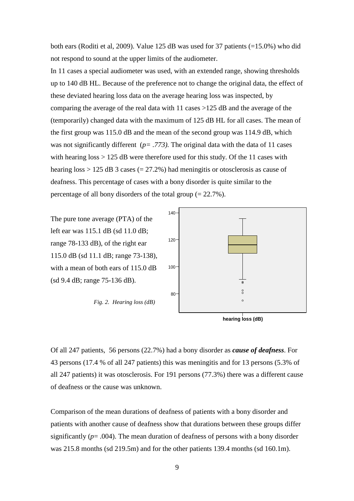both ears (Roditi et al, 2009). Value 125 dB was used for 37 patients (=15.0%) who did not respond to sound at the upper limits of the audiometer.

In 11 cases a special audiometer was used, with an extended range, showing thresholds up to 140 dB HL. Because of the preference not to change the original data, the effect of these deviated hearing loss data on the average hearing loss was inspected, by comparing the average of the real data with 11 cases >125 dB and the average of the (temporarily) changed data with the maximum of 125 dB HL for all cases. The mean of the first group was 115.0 dB and the mean of the second group was 114.9 dB, which was not significantly different ( $p = .773$ ). The original data with the data of 11 cases with hearing  $\cos$  > 125 dB were therefore used for this study. Of the 11 cases with hearing loss  $> 125$  dB 3 cases (= 27.2%) had meningitis or otosclerosis as cause of deafness. This percentage of cases with a bony disorder is quite similar to the percentage of all bony disorders of the total group  $(= 22.7\%)$ .

The pure tone average (PTA) of the left ear was 115.1 dB (sd 11.0 dB; range 78-133 dB), of the right ear 115.0 dB (sd 11.1 dB; range 73-138), with a mean of both ears of 115.0 dB (sd 9.4 dB; range 75-136 dB).

*Fig. 2. Hearing loss (dB)*





Of all 247 patients, 56 persons (22.7%) had a bony disorder as *cause of deafness*. For 43 persons (17.4 % of all 247 patients) this was meningitis and for 13 persons (5.3% of all 247 patients) it was otosclerosis. For 191 persons (77.3%) there was a different cause of deafness or the cause was unknown.

Comparison of the mean durations of deafness of patients with a bony disorder and patients with another cause of deafness show that durations between these groups differ significantly ( $p = .004$ ). The mean duration of deafness of persons with a bony disorder was 215.8 months (sd 219.5m) and for the other patients 139.4 months (sd 160.1m).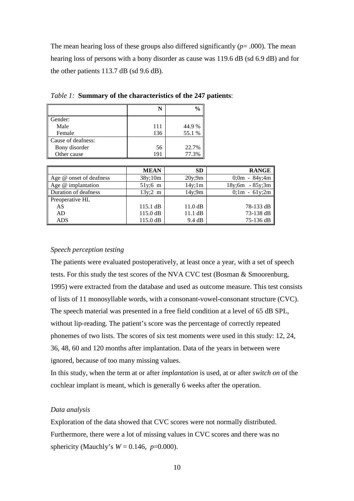The mean hearing loss of these groups also differed significantly  $(p=.000)$ . The mean hearing loss of persons with a bony disorder as cause was 119.6 dB (sd 6.9 dB) and for the other patients 113.7 dB (sd 9.6 dB).

|                    |     | $\frac{6}{9}$ |
|--------------------|-----|---------------|
| Gender:            |     |               |
| Male               | 111 | 44.9%         |
| Female             | 136 | 55.1 %        |
| Cause of deafness: |     |               |
| Bony disorder      | 56  | 22.7%         |
| Other cause        | 191 | 77.3%         |

*Table 1:* **Summary of the characteristics of the 247 patients**:

|                         | <b>MEAN</b>        | <b>SD</b>         | <b>RANGE</b>      |
|-------------------------|--------------------|-------------------|-------------------|
| Age @ onset of deafness | 38y;10m            | 20y;9m            | $0;0m - 84y;4m$   |
| Age @ implantation      | $51y;6$ m          | 14y;1m            | $18y;6m - 85y;3m$ |
| Duration of deafness    | $13y;2 \text{ m}$  | 14y;9m            | $0;1m - 61y;2m$   |
| Preoperative HL         |                    |                   |                   |
| AS                      | $115.1 \text{ dB}$ | $11.0 \text{ dB}$ | 78-133 dB         |
| AD                      | 115.0 dB           | $11.1 \text{ dB}$ | 73-138 dB         |
| ADS                     | $115.0 \text{ dB}$ | 9.4 dB            | 75-136 dB         |

#### *Speech perception testing*

The patients were evaluated postoperatively, at least once a year, with a set of speech tests. For this study the test scores of the NVA CVC test (Bosman & Smoorenburg, 1995) were extracted from the database and used as outcome measure. This test consists of lists of 11 monosyllable words, with a consonant-vowel-consonant structure (CVC). The speech material was presented in a free field condition at a level of 65 dB SPL, without lip-reading. The patient's score was the percentage of correctly repeated phonemes of two lists. The scores of six test moments were used in this study: 12, 24, 36, 48, 60 and 120 months after implantation. Data of the years in between were ignored, because of too many missing values.

In this study, when the term at or after *implantation* is used, at or after *switch on* of the cochlear implant is meant, which is generally 6 weeks after the operation.

#### *Data analysis*

Exploration of the data showed that CVC scores were not normally distributed. Furthermore, there were a lot of missing values in CVC scores and there was no sphericity (Mauchly's  $W = 0.146$ ,  $p=0.000$ ).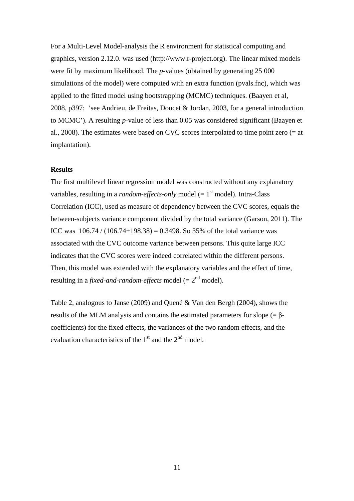For a Multi-Level Model-analysis the R environment for statistical computing and graphics, version 2.12.0. was used (http://www.r-project.org). The linear mixed models were fit by maximum likelihood. The *p*-values (obtained by generating 25 000 simulations of the model) were computed with an extra function (pvals.fnc), which was applied to the fitted model using bootstrapping (MCMC) techniques. (Baayen et al, 2008, p397: 'see Andrieu, de Freitas, Doucet & Jordan, 2003, for a general introduction to MCMC'). A resulting *p*-value of less than 0.05 was considered significant (Baayen et al., 2008). The estimates were based on CVC scores interpolated to time point zero (= at implantation).

# **Results**

The first multilevel linear regression model was constructed without any explanatory variables, resulting in a *random-effects-only* model (=  $1<sup>st</sup>$  model). Intra-Class Correlation (ICC), used as measure of dependency between the CVC scores, equals the between-subjects variance component divided by the total variance (Garson, 2011). The ICC was  $106.74 / (106.74 + 198.38) = 0.3498$ . So 35% of the total variance was associated with the CVC outcome variance between persons. This quite large ICC indicates that the CVC scores were indeed correlated within the different persons. Then, this model was extended with the explanatory variables and the effect of time, resulting in a *fixed-and-random-effects* model  $(= 2<sup>nd</sup> model)$ .

Table 2, analogous to Janse (2009) and Quené & Van den Bergh (2004), shows the results of the MLM analysis and contains the estimated parameters for slope (= βcoefficients) for the fixed effects, the variances of the two random effects, and the evaluation characteristics of the  $1<sup>st</sup>$  and the  $2<sup>nd</sup>$  model.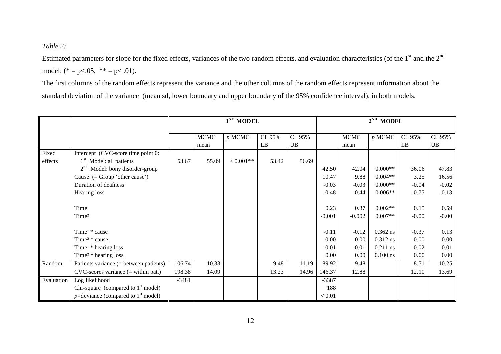*Table 2:*

Estimated parameters for slope for the fixed effects, variances of the two random effects, and evaluation characteristics (of the  $1<sup>st</sup>$  and the  $2<sup>nd</sup>$ model:  $(* = p < .05, ** = p < .01).$ 

The first columns of the random effects represent the variance and the other columns of the random effects represent information about the standard deviation of the variance (mean sd, lower boundary and upper boundary of the 95% confidence interval), in both models.

|            |                                                   | $1ST$ MODEL |             |             |        | $2^{ND}$ MODEL |          |             |            |         |           |
|------------|---------------------------------------------------|-------------|-------------|-------------|--------|----------------|----------|-------------|------------|---------|-----------|
|            |                                                   |             |             |             |        |                |          |             |            |         |           |
|            |                                                   |             | <b>MCMC</b> | $p$ MCMC    | CI 95% | CI 95%         |          | <b>MCMC</b> | $p$ MCMC   | CI 95%  | CI 95%    |
|            |                                                   |             | mean        |             | LB     | UB             |          | mean        |            | LB      | <b>UB</b> |
| Fixed      | Intercept (CVC-score time point 0:                |             |             |             |        |                |          |             |            |         |           |
| effects    | 1 <sup>st</sup> Model: all patients               | 53.67       | 55.09       | $< 0.001**$ | 53.42  | 56.69          |          |             |            |         |           |
|            | $2nd$ Model: bony disorder-group                  |             |             |             |        |                | 42.50    | 42.04       | $0.000**$  | 36.06   | 47.83     |
|            | Cause $(= Group 'other cause')$                   |             |             |             |        |                | 10.47    | 9.88        | $0.004**$  | 3.25    | 16.56     |
|            | Duration of deafness                              |             |             |             |        |                | $-0.03$  | $-0.03$     | $0.000**$  | $-0.04$ | $-0.02$   |
|            | Hearing loss                                      |             |             |             |        |                | $-0.48$  | $-0.44$     | $0.006**$  | $-0.75$ | $-0.13$   |
|            |                                                   |             |             |             |        |                |          |             |            |         |           |
|            | Time                                              |             |             |             |        |                | 0.23     | 0.37        | $0.002**$  | 0.15    | 0.59      |
|            | Time <sup>2</sup>                                 |             |             |             |        |                | $-0.001$ | $-0.002$    | $0.007**$  | $-0.00$ | $-0.00$   |
|            |                                                   |             |             |             |        |                |          |             |            |         |           |
|            | Time * cause                                      |             |             |             |        |                | $-0.11$  | $-0.12$     | $0.362$ ns | $-0.37$ | 0.13      |
|            | Time <sup>2</sup> * cause                         |             |             |             |        |                | 0.00     | 0.00        | 0.312 ns   | $-0.00$ | $0.00\,$  |
|            | Time * hearing loss                               |             |             |             |        |                | $-0.01$  | $-0.01$     | $0.211$ ns | $-0.02$ | 0.01      |
|            | Time <sup><math>2</math></sup> * hearing loss     |             |             |             |        |                | 0.00     | 0.00        | $0.100$ ns | 0.00    | 0.00      |
| Random     | Patients variance $(=$ between patients)          | 106.74      | 10.33       |             | 9.48   | 11.19          | 89.92    | 9.48        |            | 8.71    | 10.25     |
|            | $CVC$ -scores variance $($ = within pat. $)$      | 198.38      | 14.09       |             | 13.23  | 14.96          | 146.37   | 12.88       |            | 12.10   | 13.69     |
| Evaluation | Log likelihood                                    | $-3481$     |             |             |        |                | $-3387$  |             |            |         |           |
|            | Chi-square (compared to $1st$ model)              |             |             |             |        |                | 188      |             |            |         |           |
|            | $p$ =deviance (compared to 1 <sup>st</sup> model) |             |             |             |        |                | < 0.01   |             |            |         |           |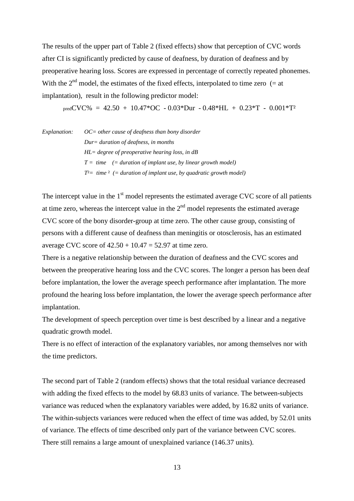The results of the upper part of Table 2 (fixed effects) show that perception of CVC words after CI is significantly predicted by cause of deafness, by duration of deafness and by preoperative hearing loss. Scores are expressed in percentage of correctly repeated phonemes. With the  $2<sup>nd</sup>$  model, the estimates of the fixed effects, interpolated to time zero (= at implantation), result in the following predictor model:

predCVC% =  $42.50 + 10.47*$ OC -  $0.03*$ Dur -  $0.48*$ HL +  $0.23*$ T -  $0.001*$ T<sup>2</sup>

| <i>Explanation:</i> | $OC = other cause of deafness than borny disorder$                       |  |  |  |  |
|---------------------|--------------------------------------------------------------------------|--|--|--|--|
|                     | $Dur = duration of deafness, in months$                                  |  |  |  |  |
|                     | $HL = degree$ of preoperative hearing loss, in dB                        |  |  |  |  |
|                     | $T =$ time (= duration of implant use, by linear growth model)           |  |  |  |  |
|                     | $T^2$ = time $^2$ (= duration of implant use, by quadratic growth model) |  |  |  |  |
|                     |                                                                          |  |  |  |  |

The intercept value in the  $1<sup>st</sup>$  model represents the estimated average CVC score of all patients at time zero, whereas the intercept value in the  $2<sup>nd</sup>$  model represents the estimated average CVC score of the bony disorder-group at time zero. The other cause group, consisting of persons with a different cause of deafness than meningitis or otosclerosis, has an estimated average CVC score of  $42.50 + 10.47 = 52.97$  at time zero.

There is a negative relationship between the duration of deafness and the CVC scores and between the preoperative hearing loss and the CVC scores. The longer a person has been deaf before implantation, the lower the average speech performance after implantation. The more profound the hearing loss before implantation, the lower the average speech performance after implantation.

The development of speech perception over time is best described by a linear and a negative quadratic growth model.

There is no effect of interaction of the explanatory variables, nor among themselves nor with the time predictors.

The second part of Table 2 (random effects) shows that the total residual variance decreased with adding the fixed effects to the model by 68.83 units of variance. The between-subjects variance was reduced when the explanatory variables were added, by 16.82 units of variance. The within-subjects variances were reduced when the effect of time was added, by 52.01 units of variance. The effects of time described only part of the variance between CVC scores. There still remains a large amount of unexplained variance (146.37 units).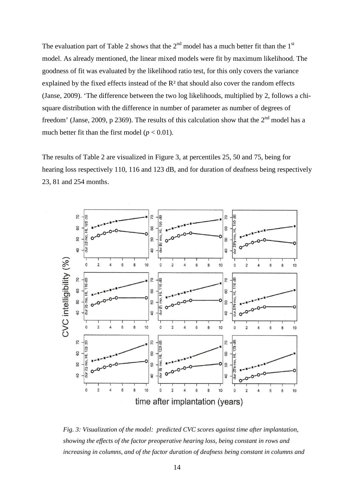The evaluation part of Table 2 shows that the  $2^{nd}$  model has a much better fit than the  $1^{st}$ model. As already mentioned, the linear mixed models were fit by maximum likelihood. The goodness of fit was evaluated by the likelihood ratio test, for this only covers the variance explained by the fixed effects instead of the R² that should also cover the random effects (Janse, 2009). 'The difference between the two log likelihoods, multiplied by 2, follows a chisquare distribution with the difference in number of parameter as number of degrees of freedom' (Janse, 2009, p 2369). The results of this calculation show that the  $2<sup>nd</sup>$  model has a much better fit than the first model ( $p < 0.01$ ).

The results of Table 2 are visualized in Figure 3, at percentiles 25, 50 and 75, being for hearing loss respectively 110, 116 and 123 dB, and for duration of deafness being respectively 23, 81 and 254 months.



*Fig. 3: Visualization of the model: predicted CVC scores against time after implantation, showing the effects of the factor preoperative hearing loss, being constant in rows and increasing in columns, and of the factor duration of deafness being constant in columns and*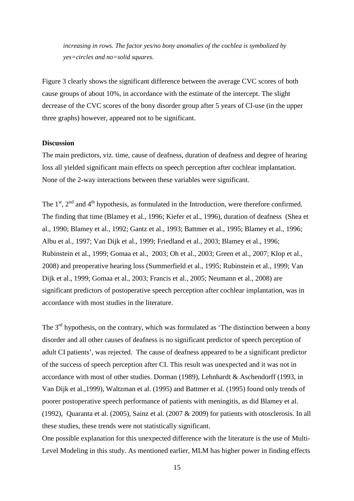*increasing in rows. The factor yes/no bony anomalies of the cochlea is symbolized by yes=circles and no=solid squares.*

Figure 3 clearly shows the significant difference between the average CVC scores of both cause groups of about 10%, in accordance with the estimate of the intercept. The slight decrease of the CVC scores of the bony disorder group after 5 years of CI-use (in the upper three graphs) however, appeared not to be significant.

# **Discussion**

The main predictors, viz. time, cause of deafness, duration of deafness and degree of hearing loss all yielded significant main effects on speech perception after cochlear implantation. None of the 2-way interactions between these variables were significant.

The  $1<sup>st</sup>$ ,  $2<sup>nd</sup>$  and  $4<sup>th</sup>$  hypothesis, as formulated in the Introduction, were therefore confirmed. The finding that time (Blamey et al., 1996; Kiefer et al., 1996), duration of deafness (Shea et al., 1990; Blamey et al., 1992; Gantz et al., 1993; Battmer et al., 1995; Blamey et al., 1996; Albu et al., 1997; Van Dijk et al., 1999; Friedland et al., 2003; Blamey et al., 1996; Rubinstein et al., 1999; Gomaa et al., 2003; Oh et al., 2003; Green et al., 2007; Klop et al., 2008) and preoperative hearing loss (Summerfield et al., 1995; Rubinstein et al., 1999; Van Dijk et al., 1999; Gomaa et al., 2003; Francis et al., 2005; Neumann et al., 2008) are significant predictors of postoperative speech perception after cochlear implantation, was in accordance with most studies in the literature.

The  $3<sup>rd</sup>$  hypothesis, on the contrary, which was formulated as 'The distinction between a bony disorder and all other causes of deafness is no significant predictor of speech perception of adult CI patients', was rejected. The cause of deafness appeared to be a significant predictor of the success of speech perception after CI. This result was unexpected and it was not in accordance with most of other studies. Dorman (1989), Lehnhardt & Aschendorff (1993, in Van Dijk et al.,1999), Waltzman et al. (1995) and Battmer et al. (1995) found only trends of poorer postoperative speech performance of patients with meningitis, as did Blamey et al. (1992), Quaranta et al. (2005), Sainz et al. (2007 & 2009) for patients with otosclerosis. In all these studies, these trends were not statistically significant.

One possible explanation for this unexpected difference with the literature is the use of Multi-Level Modeling in this study. As mentioned earlier, MLM has higher power in finding effects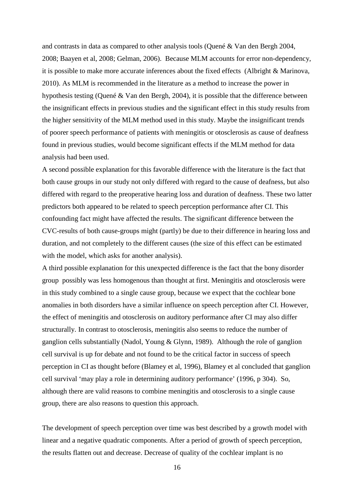and contrasts in data as compared to other analysis tools (Quené & Van den Bergh 2004, 2008; Baayen et al, 2008; Gelman, 2006). Because MLM accounts for error non-dependency, it is possible to make more accurate inferences about the fixed effects (Albright & Marinova, 2010). As MLM is recommended in the literature as a method to increase the power in hypothesis testing (Quené & Van den Bergh, 2004), it is possible that the difference between the insignificant effects in previous studies and the significant effect in this study results from the higher sensitivity of the MLM method used in this study. Maybe the insignificant trends of poorer speech performance of patients with meningitis or otosclerosis as cause of deafness found in previous studies, would become significant effects if the MLM method for data analysis had been used.

A second possible explanation for this favorable difference with the literature is the fact that both cause groups in our study not only differed with regard to the cause of deafness, but also differed with regard to the preoperative hearing loss and duration of deafness. These two latter predictors both appeared to be related to speech perception performance after CI. This confounding fact might have affected the results. The significant difference between the CVC-results of both cause-groups might (partly) be due to their difference in hearing loss and duration, and not completely to the different causes (the size of this effect can be estimated with the model, which asks for another analysis).

A third possible explanation for this unexpected difference is the fact that the bony disorder group possibly was less homogenous than thought at first. Meningitis and otosclerosis were in this study combined to a single cause group, because we expect that the cochlear bone anomalies in both disorders have a similar influence on speech perception after CI. However, the effect of meningitis and otosclerosis on auditory performance after CI may also differ structurally. In contrast to otosclerosis, meningitis also seems to reduce the number of ganglion cells substantially (Nadol, Young & Glynn, 1989). Although the role of ganglion cell survival is up for debate and not found to be the critical factor in success of speech perception in CI as thought before (Blamey et al, 1996), Blamey et al concluded that ganglion cell survival 'may play a role in determining auditory performance' (1996, p 304). So, although there are valid reasons to combine meningitis and otosclerosis to a single cause group, there are also reasons to question this approach.

The development of speech perception over time was best described by a growth model with linear and a negative quadratic components. After a period of growth of speech perception, the results flatten out and decrease. Decrease of quality of the cochlear implant is no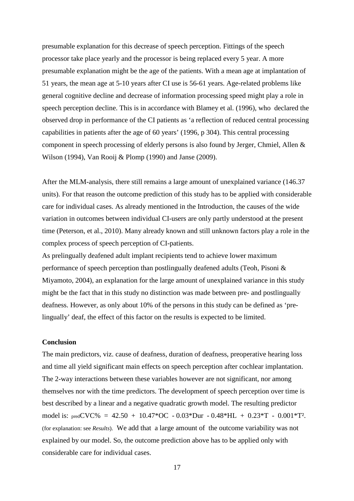presumable explanation for this decrease of speech perception. Fittings of the speech processor take place yearly and the processor is being replaced every 5 year. A more presumable explanation might be the age of the patients. With a mean age at implantation of 51 years, the mean age at 5-10 years after CI use is 56-61 years. Age-related problems like general cognitive decline and decrease of information processing speed might play a role in speech perception decline. This is in accordance with Blamey et al. (1996), who declared the observed drop in performance of the CI patients as 'a reflection of reduced central processing capabilities in patients after the age of 60 years' (1996, p 304). This central processing component in speech processing of elderly persons is also found by Jerger, Chmiel, Allen & Wilson (1994), Van Rooij & Plomp (1990) and Janse (2009).

After the MLM-analysis, there still remains a large amount of unexplained variance (146.37 units). For that reason the outcome prediction of this study has to be applied with considerable care for individual cases. As already mentioned in the Introduction, the causes of the wide variation in outcomes between individual CI-users are only partly understood at the present time (Peterson, et al., 2010). Many already known and still unknown factors play a role in the complex process of speech perception of CI-patients.

As prelingually deafened adult implant recipients tend to achieve lower maximum performance of speech perception than postlingually deafened adults (Teoh, Pisoni & Miyamoto, 2004), an explanation for the large amount of unexplained variance in this study might be the fact that in this study no distinction was made between pre- and postlingually deafness. However, as only about 10% of the persons in this study can be defined as 'prelingually' deaf, the effect of this factor on the results is expected to be limited.

# **Conclusion**

The main predictors, viz. cause of deafness, duration of deafness, preoperative hearing loss and time all yield significant main effects on speech perception after cochlear implantation. The 2-way interactions between these variables however are not significant, nor among themselves nor with the time predictors. The development of speech perception over time is best described by a linear and a negative quadratic growth model. The resulting predictor model is: predCVC% = 42.50 + 10.47\*OC - 0.03\*Dur - 0.48\*HL + 0.23\*T - 0.001\*T². (for explanation: see *Results*). We add that a large amount of the outcome variability was not explained by our model. So, the outcome prediction above has to be applied only with considerable care for individual cases.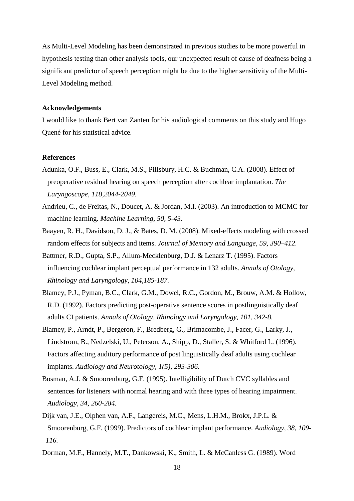As Multi-Level Modeling has been demonstrated in previous studies to be more powerful in hypothesis testing than other analysis tools, our unexpected result of cause of deafness being a significant predictor of speech perception might be due to the higher sensitivity of the Multi-Level Modeling method.

#### **Acknowledgements**

I would like to thank Bert van Zanten for his audiological comments on this study and Hugo Quené for his statistical advice.

#### **References**

- Adunka, O.F., Buss, E., Clark, M.S., Pillsbury, H.C. & Buchman, C.A. (2008). Effect of preoperative residual hearing on speech perception after cochlear implantation. *The Laryngoscope, 118,2044-2049.*
- Andrieu, C., de Freitas, N., Doucet, A. & Jordan, M.I. (2003). An introduction to MCMC for machine learning. *Machine Learning, 50, 5-43.*
- Baayen, R. H., Davidson, D. J., & Bates, D. M. (2008). Mixed-effects modeling with crossed random effects for subjects and items. *Journal of Memory and Language, 59, 390–412.*
- Battmer, R.D., Gupta, S.P., Allum-Mecklenburg, D.J. & Lenarz T. (1995). Factors influencing cochlear implant perceptual performance in 132 adults. *Annals of Otology, Rhinology and Laryngology, 104,185-187.*
- Blamey, P.J., Pyman, B.C., Clark, G.M., Dowel, R.C., Gordon, M., Brouw, A.M. & Hollow, R.D. (1992). Factors predicting post-operative sentence scores in postlinguistically deaf adults CI patients. *Annals of Otology, Rhinology and Laryngology, 101, 342-8.*
- Blamey, P., Arndt, P., Bergeron, F., Bredberg, G., Brimacombe, J., Facer, G., Larky, J., Lindstrom, B., Nedzelski, U., Peterson, A., Shipp, D., Staller, S. & Whitford L. (1996). Factors affecting auditory performance of post linguistically deaf adults using cochlear implants. *Audiology and Neurotology, 1(5), 293-306.*
- Bosman, A.J. & Smoorenburg, G.F. (1995). Intelligibility of Dutch CVC syllables and sentences for listeners with normal hearing and with three types of hearing impairment. *Audiology, 34, 260-284.*
- Dijk van, J.E., Olphen van, A.F., Langereis, M.C., Mens, L.H.M., Brokx, J.P.L. & Smoorenburg, G.F. (1999). Predictors of cochlear implant performance. *Audiology, 38, 109- 116.*

Dorman, M.F., Hannely, M.T., Dankowski, K., Smith, L. & McCanless G. (1989). Word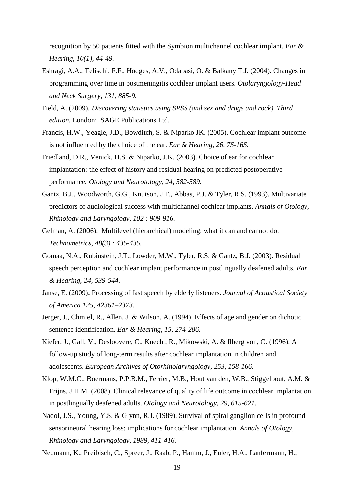recognition by 50 patients fitted with the Symbion multichannel cochlear implant. *Ear & Hearing, 10(1), 44-49.*

- Eshragi, A.A., Telischi, F.F., Hodges, A.V., Odabasi, O. & Balkany T.J. (2004). Changes in programming over time in postmeningitis cochlear implant users. *Otolaryngology-Head and Neck Surgery, 131, 885-9.*
- Field, A. (2009). *Discovering statistics using SPSS (and sex and drugs and rock). Third edition.* London: SAGE Publications Ltd.
- Francis, H.W., Yeagle, J.D., Bowditch, S. & Niparko JK. (2005). Cochlear implant outcome is not influenced by the choice of the ear. *Ear & Hearing, 26, 7S-16S.*
- Friedland, D.R., Venick, H.S. & Niparko, J.K. (2003). Choice of ear for cochlear implantation: the effect of history and residual hearing on predicted postoperative performance*. Otology and Neurotology, 24, 582-589.*
- Gantz, B.J., Woodworth, G.G., Knutson, J.F., Abbas, P.J. & Tyler, R.S. (1993). Multivariate predictors of audiological success with multichannel cochlear implants. *Annals of Otology, Rhinology and Laryngology, 102 : 909-916.*
- Gelman, A. (2006). Multilevel (hierarchical) modeling: what it can and cannot do. *Technometrics, 48(3) : 435-435.*
- Gomaa, N.A., Rubinstein, J.T., Lowder, M.W., Tyler, R.S. & Gantz, B.J. (2003). Residual speech perception and cochlear implant performance in postlingually deafened adults. *Ear & Hearing, 24, 539-544.*
- Janse, E. (2009). Processing of fast speech by elderly listeners. *Journal of Acoustical Society of America 125, 42361–2373.*
- Jerger, J., Chmiel, R., Allen, J. & Wilson, A. (1994). Effects of age and gender on dichotic sentence identification*. Ear & Hearing, 15, 274-286.*
- Kiefer, J., Gall, V., Desloovere, C., Knecht, R., Mikowski, A. & Ilberg von, C. (1996). A follow-up study of long-term results after cochlear implantation in children and adolescents. *European Archives of Otorhinolaryngology, 253, 158-166.*
- Klop, W.M.C., Boermans, P.P.B.M., Ferrier, M.B., Hout van den, W.B., Stiggelbout, A.M. & Frijns, J.H.M. (2008). Clinical relevance of quality of life outcome in cochlear implantation in postlingually deafened adults. *Otology and Neurotology, 29, 615-621.*
- Nadol, J.S., Young, Y.S. & Glynn, R.J. (1989). Survival of spiral ganglion cells in profound sensorineural hearing loss: implications for cochlear implantation*. Annals of Otology, Rhinology and Laryngology, 1989, 411-416.*
- Neumann, K., Preibisch, C., Spreer, J., Raab, P., Hamm, J., Euler, H.A., Lanfermann, H.,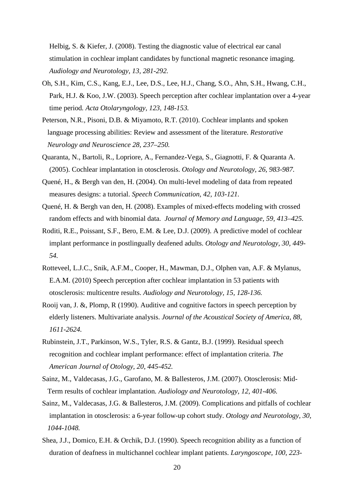Helbig, S. & Kiefer, J. (2008). Testing the diagnostic value of electrical ear canal stimulation in cochlear implant candidates by functional magnetic resonance imaging*. Audiology and Neurotology, 13, 281-292.*

- Oh, S.H., Kim, C.S., Kang, E.J., Lee, D.S., Lee, H.J., Chang, S.O., Ahn, S.H., Hwang, C.H., Park, H.J. & Koo, J.W. (2003). Speech perception after cochlear implantation over a 4-year time period*. Acta Otolaryngology, 123, 148-153.*
- Peterson, N.R., Pisoni, D.B. & Miyamoto, R.T. (2010). Cochlear implants and spoken language processing abilities: Review and assessment of the literature. *Restorative Neurology and Neuroscience 28, 237–250.*
- Quaranta, N., Bartoli, R., Lopriore, A., Fernandez-Vega, S., Giagnotti, F. & Quaranta A. (2005). Cochlear implantation in otosclerosis. *Otology and Neurotology, 26, 983-987.*
- Quené, H., & Bergh van den, H. (2004). On multi-level modeling of data from repeated measures designs: a tutorial. *Speech Communication, 42, 103-121.*
- Quené, H. & Bergh van den, H. (2008). Examples of mixed-effects modeling with crossed random effects and with binomial data. *Journal of Memory and Language, 59, 413–425.*
- Roditi, R.E., Poissant, S.F., Bero, E.M. & Lee, D.J. (2009). A predictive model of cochlear implant performance in postlingually deafened adults. *Otology and Neurotology, 30, 449- 54.*
- Rotteveel, L.J.C., Snik, A.F.M., Cooper, H., Mawman, D.J., Olphen van, A.F. & Mylanus, E.A.M. (2010) Speech perception after cochlear implantation in 53 patients with otosclerosis: multicentre results. *Audiology and Neurotology, 15, 128-136.*
- Rooij van, J. &, Plomp, R (1990). Auditive and cognitive factors in speech perception by elderly listeners. Multivariate analysis. *Journal of the Acoustical Society of America, 88, 1611-2624.*
- Rubinstein, J.T., Parkinson, W.S., Tyler, R.S. & Gantz, B.J. (1999). Residual speech recognition and cochlear implant performance: effect of implantation criteria. *The American Journal of Otology, 20, 445-452.*
- Sainz, M., Valdecasas, J.G., Garofano, M. & Ballesteros, J.M. (2007). Otosclerosis: Mid-Term results of cochlear implantation*. Audiology and Neurotology, 12, 401-406.*
- Sainz, M., Valdecasas, J.G. & Ballesteros, J.M. (2009). Complications and pitfalls of cochlear implantation in otosclerosis: a 6-year follow-up cohort study. *Otology and Neurotology, 30, 1044-1048.*
- Shea, J.J., Domico, E.H. & Orchik, D.J. (1990). Speech recognition ability as a function of duration of deafness in multichannel cochlear implant patients. *Laryngoscope, 100, 223-*